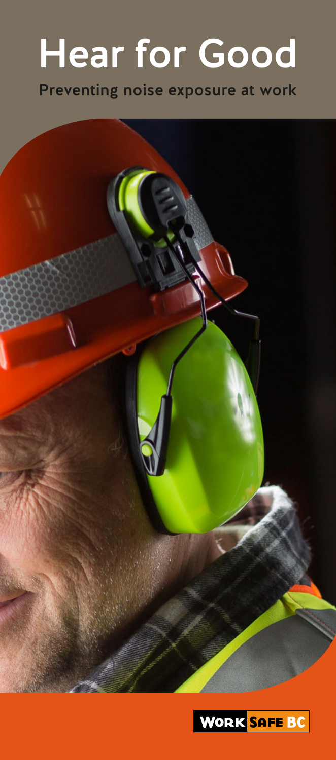# Hear for Good

Preventing noise exposure at work



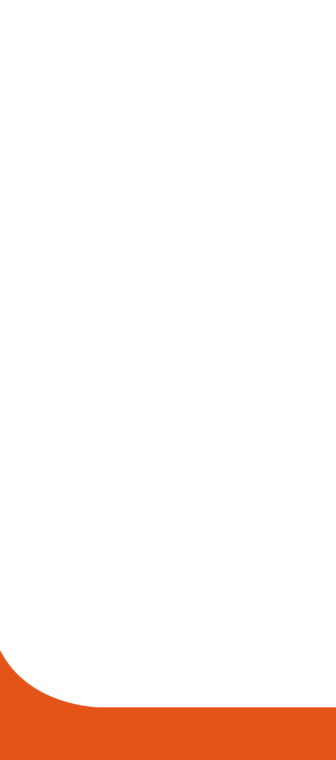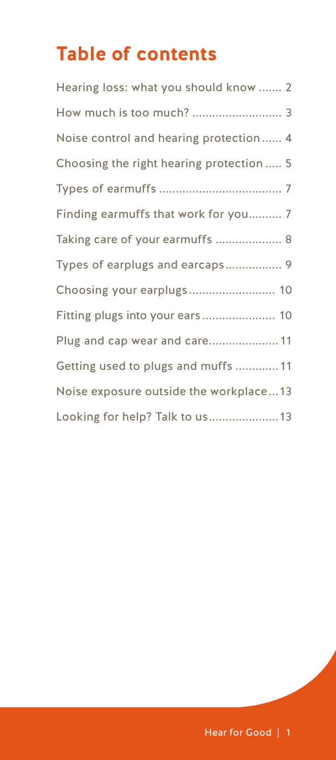# **Table of contents**

| Hearing loss: what you should know  2    |
|------------------------------------------|
|                                          |
| Noise control and hearing protection  4  |
| Choosing the right hearing protection  5 |
|                                          |
| Finding earmuffs that work for you 7     |
| Taking care of your earmuffs  8          |
| Types of earplugs and earcaps 9          |
| Choosing your earplugs 10                |
| Fitting plugs into your ears 10          |
| Plug and cap wear and care 11            |
| Getting used to plugs and muffs  11      |
| Noise exposure outside the workplace13   |
| Looking for help? Talk to us 13          |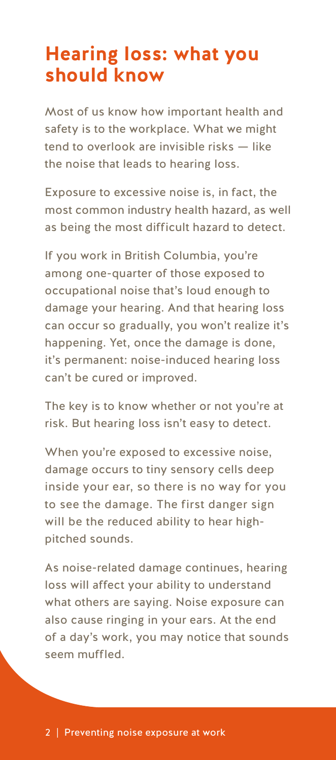#### <span id="page-3-0"></span>**Hearing loss: what you should know**

Most of us know how important health and safety is to the workplace. What we might tend to overlook are invisible risks — like the noise that leads to hearing loss.

Exposure to excessive noise is, in fact, the most common industry health hazard, as well as being the most difficult hazard to detect.

If you work in British Columbia, you're among one-quarter of those exposed to occupational noise that's loud enough to damage your hearing. And that hearing loss can occur so gradually, you won't realize it's happening. Yet, once the damage is done, it's permanent: noise-induced hearing loss can't be cured or improved.

The key is to know whether or not you're at risk. But hearing loss isn't easy to detect.

When you're exposed to excessive noise, damage occurs to tiny sensory cells deep inside your ear, so there is no way for you to see the damage. The first danger sign will be the reduced ability to hear highpitched sounds.

As noise-related damage continues, hearing loss will affect your ability to understand what others are saying. Noise exposure can also cause ringing in your ears. At the end of a day's work, you may notice that sounds seem muffled.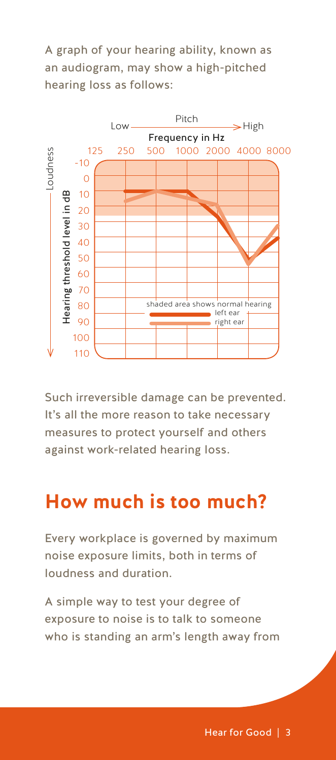<span id="page-4-0"></span>A graph of your hearing ability, known as an audiogram, may show a high-pitched hearing loss as follows:



Such irreversible damage can be prevented. It's all the more reason to take necessary measures to protect yourself and others against work-related hearing loss.

#### **How much is too much?**

Every workplace is governed by maximum noise exposure limits, both in terms of loudness and duration.

A simple way to test your degree of exposure to noise is to talk to someone who is standing an arm's length away from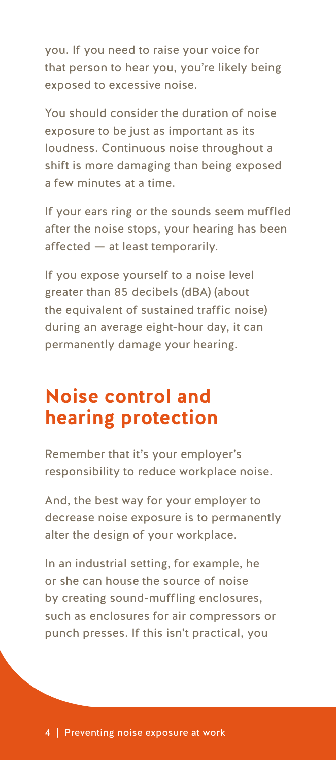<span id="page-5-0"></span>you. If you need to raise your voice for that person to hear you, you're likely being exposed to excessive noise.

You should consider the duration of noise exposure to be just as important as its loudness. Continuous noise throughout a shift is more damaging than being exposed a few minutes at a time.

If your ears ring or the sounds seem muffled after the noise stops, your hearing has been affected — at least temporarily.

If you expose yourself to a noise level greater than 85 decibels (dBA) (about the equivalent of sustained traffic noise) during an average eight-hour day, it can permanently damage your hearing.

#### **Noise control and hearing protection**

Remember that it's your employer's responsibility to reduce workplace noise.

And, the best way for your employer to decrease noise exposure is to permanently alter the design of your workplace.

In an industrial setting, for example, he or she can house the source of noise by creating sound-muffling enclosures, such as enclosures for air compressors or punch presses. If this isn't practical, you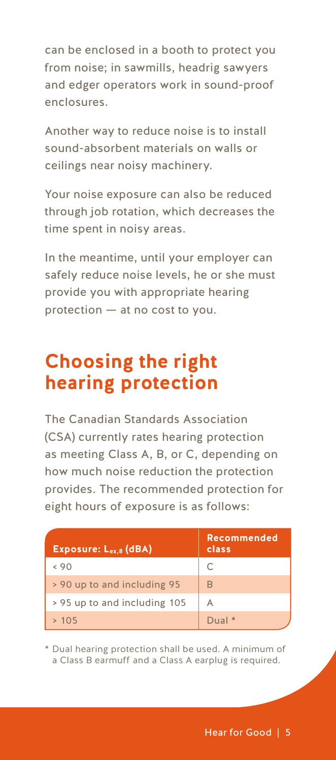<span id="page-6-0"></span>can be enclosed in a booth to protect you from noise; in sawmills, headrig sawyers and edger operators work in sound-proof enclosures.

Another way to reduce noise is to install sound-absorbent materials on walls or ceilings near noisy machinery.

Your noise exposure can also be reduced through job rotation, which decreases the time spent in noisy areas.

In the meantime, until your employer can safely reduce noise levels, he or she must provide you with appropriate hearing protection — at no cost to you.

# **Choosing the right hearing protection**

The Canadian Standards Association (CSA) currently rates hearing protection as meeting Class A, B, or C, depending on how much noise reduction the protection provides. The recommended protection for eight hours of exposure is as follows:

| Exposure: $L_{ex,8}$ (dBA)   | Recommended<br>class |
|------------------------------|----------------------|
| & 90                         |                      |
| > 90 up to and including 95  | B                    |
| > 95 up to and including 105 | A                    |
| >105                         | Dual                 |

\* Dual hearing protection shall be used. A minimum of a Class B earmuff and a Class A earplug is required.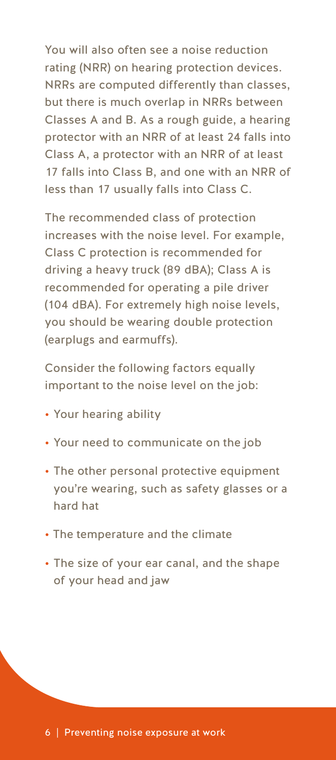You will also often see a noise reduction rating (NRR) on hearing protection devices. NRRs are computed differently than classes, but there is much overlap in NRRs between Classes A and B. As a rough guide, a hearing protector with an NRR of at least 24 falls into Class A, a protector with an NRR of at least 17 falls into Class B, and one with an NRR of less than 17 usually falls into Class C.

The recommended class of protection increases with the noise level. For example, Class C protection is recommended for driving a heavy truck (89 dBA); Class A is recommended for operating a pile driver (104 dBA). For extremely high noise levels, you should be wearing double protection (earplugs and earmuffs).

Consider the following factors equally important to the noise level on the job:

- Your hearing ability
- Your need to communicate on the job
- The other personal protective equipment you're wearing, such as safety glasses or a hard hat
- The temperature and the climate
- The size of your ear canal, and the shape of your head and jaw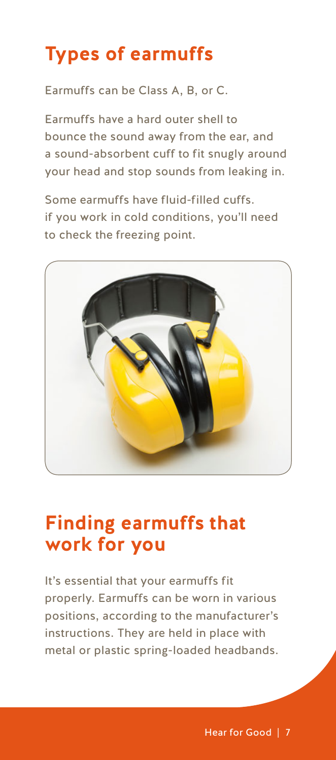# <span id="page-8-0"></span>**Types of earmuffs**

Earmuffs can be Class A, B, or C.

Earmuffs have a hard outer shell to bounce the sound away from the ear, and a sound-absorbent cuff to fit snugly around your head and stop sounds from leaking in.

Some earmuffs have fluid-filled cuffs. if you work in cold conditions, you'll need to check the freezing point.



## **Finding earmuffs that work for you**

It's essential that your earmuffs fit properly. Earmuffs can be worn in various positions, according to the manufacturer's instructions. They are held in place with metal or plastic spring-loaded headbands.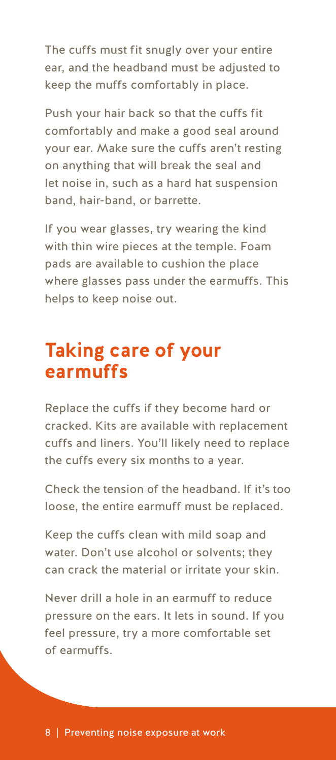<span id="page-9-0"></span>The cuffs must fit snugly over your entire ear, and the headband must be adjusted to keep the muffs comfortably in place.

Push your hair back so that the cuffs fit comfortably and make a good seal around your ear. Make sure the cuffs aren't resting on anything that will break the seal and let noise in, such as a hard hat suspension band, hair-band, or barrette.

If you wear glasses, try wearing the kind with thin wire pieces at the temple. Foam pads are available to cushion the place where glasses pass under the earmuffs. This helps to keep noise out.

#### **Taking care of your earmuffs**

Replace the cuffs if they become hard or cracked. Kits are available with replacement cuffs and liners. You'll likely need to replace the cuffs every six months to a year.

Check the tension of the headband. If it's too loose, the entire earmuff must be replaced.

Keep the cuffs clean with mild soap and water. Don't use alcohol or solvents; they can crack the material or irritate your skin.

Never drill a hole in an earmuff to reduce pressure on the ears. It lets in sound. If you feel pressure, try a more comfortable set of earmuffs.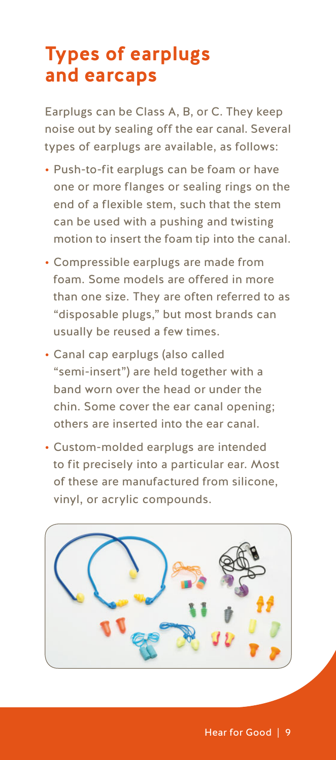# <span id="page-10-0"></span>**Types of earplugs and earcaps**

Earplugs can be Class A, B, or C. They keep noise out by sealing off the ear canal. Several types of earplugs are available, as follows:

- Push-to-fit earplugs can be foam or have one or more flanges or sealing rings on the end of a flexible stem, such that the stem can be used with a pushing and twisting motion to insert the foam tip into the canal.
- Compressible earplugs are made from foam. Some models are offered in more than one size. They are often referred to as "disposable plugs," but most brands can usually be reused a few times.
- Canal cap earplugs (also called "semi-insert") are held together with a band worn over the head or under the chin. Some cover the ear canal opening; others are inserted into the ear canal.
- Custom-molded earplugs are intended to fit precisely into a particular ear. Most of these are manufactured from silicone, vinyl, or acrylic compounds.

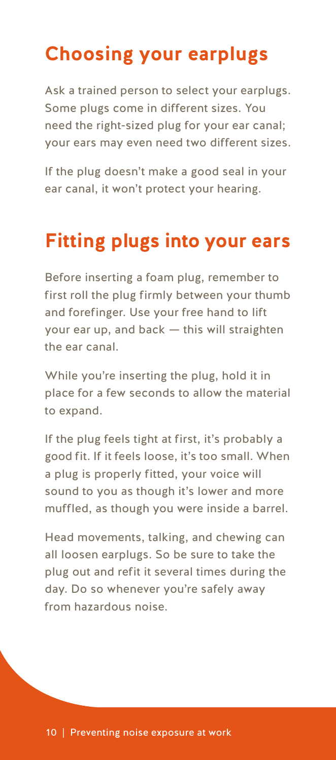# <span id="page-11-0"></span>**Choosing your earplugs**

Ask a trained person to select your earplugs. Some plugs come in different sizes. You need the right-sized plug for your ear canal; your ears may even need two different sizes.

If the plug doesn't make a good seal in your ear canal, it won't protect your hearing.

# **Fitting plugs into your ears**

Before inserting a foam plug, remember to first roll the plug firmly between your thumb and forefinger. Use your free hand to lift your ear up, and back — this will straighten the ear canal.

While you're inserting the plug, hold it in place for a few seconds to allow the material to expand.

If the plug feels tight at first, it's probably a good fit. If it feels loose, it's too small. When a plug is properly fitted, your voice will sound to you as though it's lower and more muffled, as though you were inside a barrel.

Head movements, talking, and chewing can all loosen earplugs. So be sure to take the plug out and refit it several times during the day. Do so whenever you're safely away from hazardous noise.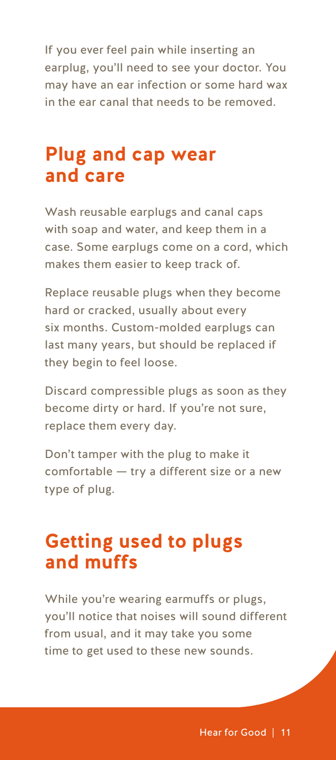<span id="page-12-0"></span>If you ever feel pain while inserting an earplug, you'll need to see your doctor. You may have an ear infection or some hard wax in the ear canal that needs to be removed.

#### **Plug and cap wear and care**

Wash reusable earplugs and canal caps with soap and water, and keep them in a case. Some earplugs come on a cord, which makes them easier to keep track of.

Replace reusable plugs when they become hard or cracked, usually about every six months. Custom-molded earplugs can last many years, but should be replaced if they begin to feel loose.

Discard compressible plugs as soon as they become dirty or hard. If you're not sure, replace them every day.

Don't tamper with the plug to make it comfortable — try a different size or a new type of plug.

#### **Getting used to plugs and muffs**

While you're wearing earmuffs or plugs, you'll notice that noises will sound different from usual, and it may take you some time to get used to these new sounds.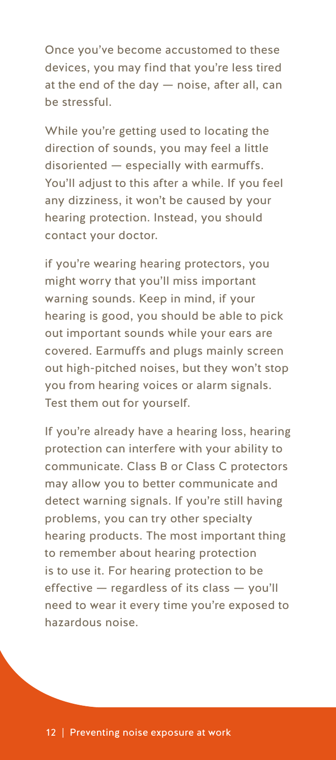Once you've become accustomed to these devices, you may find that you're less tired at the end of the day — noise, after all, can be stressful.

While you're getting used to locating the direction of sounds, you may feel a little disoriented — especially with earmuffs. You'll adjust to this after a while. If you feel any dizziness, it won't be caused by your hearing protection. Instead, you should contact your doctor.

if you're wearing hearing protectors, you might worry that you'll miss important warning sounds. Keep in mind, if your hearing is good, you should be able to pick out important sounds while your ears are covered. Earmuffs and plugs mainly screen out high-pitched noises, but they won't stop you from hearing voices or alarm signals. Test them out for yourself.

If you're already have a hearing loss, hearing protection can interfere with your ability to communicate. Class B or Class C protectors may allow you to better communicate and detect warning signals. If you're still having problems, you can try other specialty hearing products. The most important thing to remember about hearing protection is to use it. For hearing protection to be effective — regardless of its class — you'll need to wear it every time you're exposed to hazardous noise.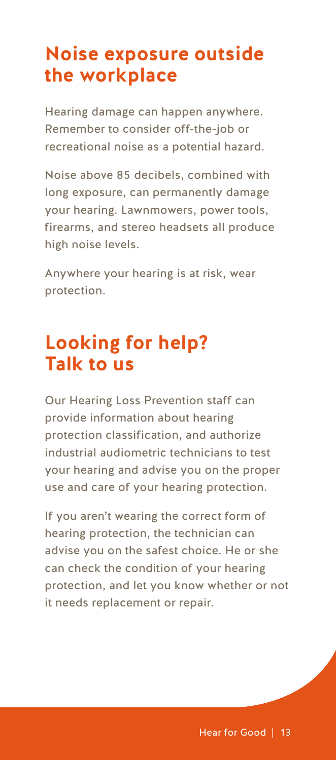#### <span id="page-14-0"></span>**Noise exposure outside the workplace**

Hearing damage can happen anywhere. Remember to consider off-the-job or recreational noise as a potential hazard.

Noise above 85 decibels, combined with long exposure, can permanently damage your hearing. Lawnmowers, power tools, firearms, and stereo headsets all produce high noise levels.

Anywhere your hearing is at risk, wear protection.

## **Looking for help? Talk to us**

Our He[aring Loss Prevent](http://www.worksafebc.com/)ion staff can provide information about hearing protection classification, and authorize industrial audiometric technicians to test your hearing and advise you on the proper use and care of your hearing protection.

If you aren't wearing the correct form of hearing protection, the technician can advise you on the safest choice. He or she can check the condition of your hearing protection, and let you know whether or not it needs replacement or repair.